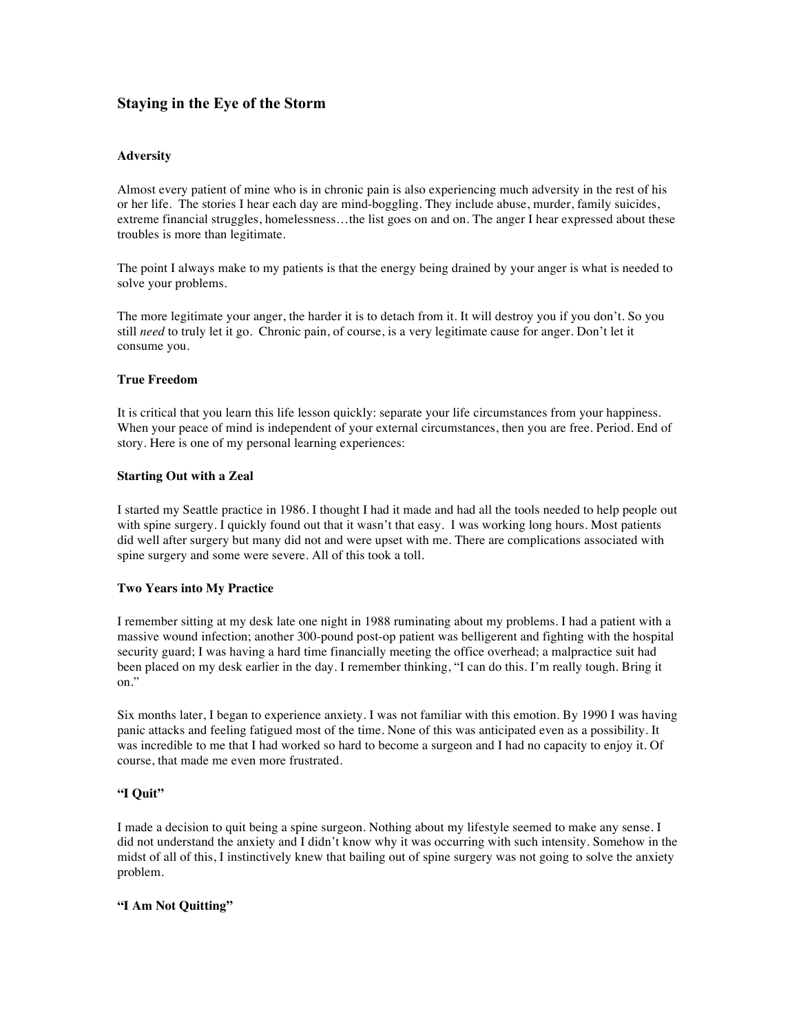# **Staying in the Eye of the Storm**

### **Adversity**

Almost every patient of mine who is in chronic pain is also experiencing much adversity in the rest of his or her life. The stories I hear each day are mind-boggling. They include abuse, murder, family suicides, extreme financial struggles, homelessness…the list goes on and on. The anger I hear expressed about these troubles is more than legitimate.

The point I always make to my patients is that the energy being drained by your anger is what is needed to solve your problems.

The more legitimate your anger, the harder it is to detach from it. It will destroy you if you don't. So you still *need* to truly let it go. Chronic pain, of course, is a very legitimate cause for anger. Don't let it consume you.

### **True Freedom**

It is critical that you learn this life lesson quickly: separate your life circumstances from your happiness. When your peace of mind is independent of your external circumstances, then you are free. Period. End of story. Here is one of my personal learning experiences:

### **Starting Out with a Zeal**

I started my Seattle practice in 1986. I thought I had it made and had all the tools needed to help people out with spine surgery. I quickly found out that it wasn't that easy. I was working long hours. Most patients did well after surgery but many did not and were upset with me. There are complications associated with spine surgery and some were severe. All of this took a toll.

# **Two Years into My Practice**

I remember sitting at my desk late one night in 1988 ruminating about my problems. I had a patient with a massive wound infection; another 300-pound post-op patient was belligerent and fighting with the hospital security guard; I was having a hard time financially meeting the office overhead; a malpractice suit had been placed on my desk earlier in the day. I remember thinking, "I can do this. I'm really tough. Bring it on."

Six months later, I began to experience anxiety. I was not familiar with this emotion. By 1990 I was having panic attacks and feeling fatigued most of the time. None of this was anticipated even as a possibility. It was incredible to me that I had worked so hard to become a surgeon and I had no capacity to enjoy it. Of course, that made me even more frustrated.

# **"I Quit"**

I made a decision to quit being a spine surgeon. Nothing about my lifestyle seemed to make any sense. I did not understand the anxiety and I didn't know why it was occurring with such intensity. Somehow in the midst of all of this, I instinctively knew that bailing out of spine surgery was not going to solve the anxiety problem.

#### **"I Am Not Quitting"**